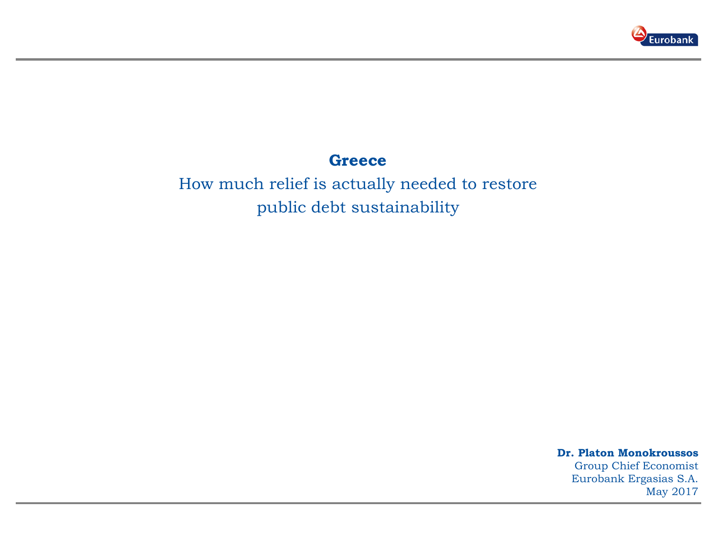

### **Greece**

How much relief is actually needed to restore public debt sustainability

> **Dr. Platon Monokroussos**  Group Chief Economist Eurobank Ergasias S.A. May 2017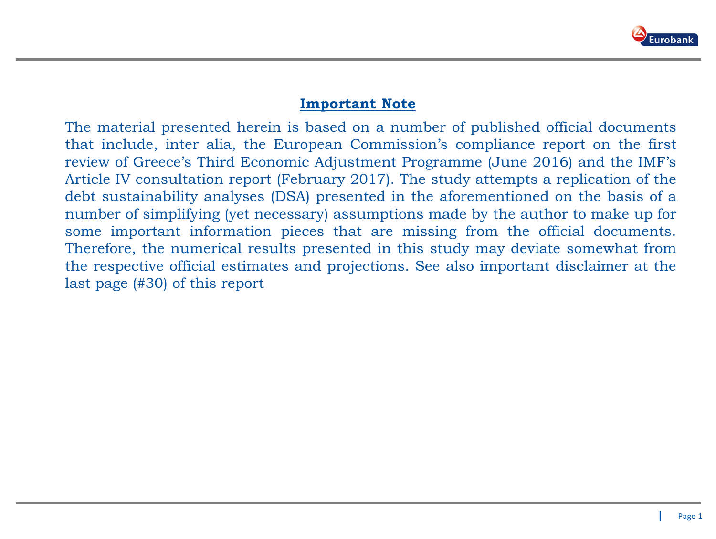

### **Important Note**

The material presented herein is based on a number of published official documents that include, inter alia, the European Commission's compliance report on the first review of Greece's Third Economic Adjustment Programme (June 2016) and the IMF's Article IV consultation report (February 2017). The study attempts a replication of the debt sustainability analyses (DSA) presented in the aforementioned on the basis of a number of simplifying (yet necessary) assumptions made by the author to make up for some important information pieces that are missing from the official documents. Therefore, the numerical results presented in this study may deviate somewhat from the respective official estimates and projections. See also important disclaimer at the last page (#30) of this report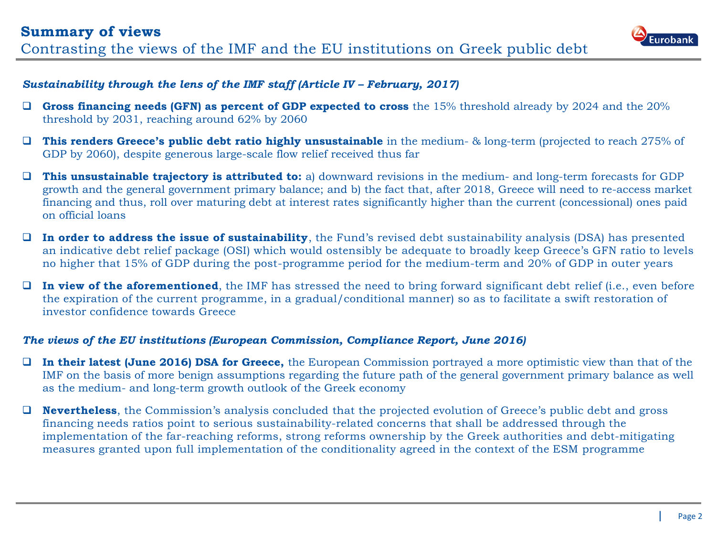

#### *Sustainability through the lens of the IMF staff (Article IV – February, 2017)*

- **Gross financing needs (GFN) as percent of GDP expected to cross** the 15% threshold already by 2024 and the 20% threshold by 2031, reaching around 62% by 2060
- **This renders Greece's public debt ratio highly unsustainable** in the medium- & long-term (projected to reach 275% of GDP by 2060), despite generous large-scale flow relief received thus far
- **This unsustainable trajectory is attributed to:** a) downward revisions in the medium- and long-term forecasts for GDP growth and the general government primary balance; and b) the fact that, after 2018, Greece will need to re-access market financing and thus, roll over maturing debt at interest rates significantly higher than the current (concessional) ones paid on official loans
- **In order to address the issue of sustainability**, the Fund's revised debt sustainability analysis (DSA) has presented an indicative debt relief package (OSI) which would ostensibly be adequate to broadly keep Greece's GFN ratio to levels no higher that 15% of GDP during the post-programme period for the medium-term and 20% of GDP in outer years
- **In view of the aforementioned**, the IMF has stressed the need to bring forward significant debt relief (i.e., even before the expiration of the current programme, in a gradual/conditional manner) so as to facilitate a swift restoration of investor confidence towards Greece

#### *The views of the EU institutions (European Commission, Compliance Report, June 2016)*

- **In their latest (June 2016) DSA for Greece,** the European Commission portrayed a more optimistic view than that of the IMF on the basis of more benign assumptions regarding the future path of the general government primary balance as well as the medium- and long-term growth outlook of the Greek economy
- **Nevertheless**, the Commission's analysis concluded that the projected evolution of Greece's public debt and gross financing needs ratios point to serious sustainability-related concerns that shall be addressed through the implementation of the far-reaching reforms, strong reforms ownership by the Greek authorities and debt-mitigating measures granted upon full implementation of the conditionality agreed in the context of the ESM programme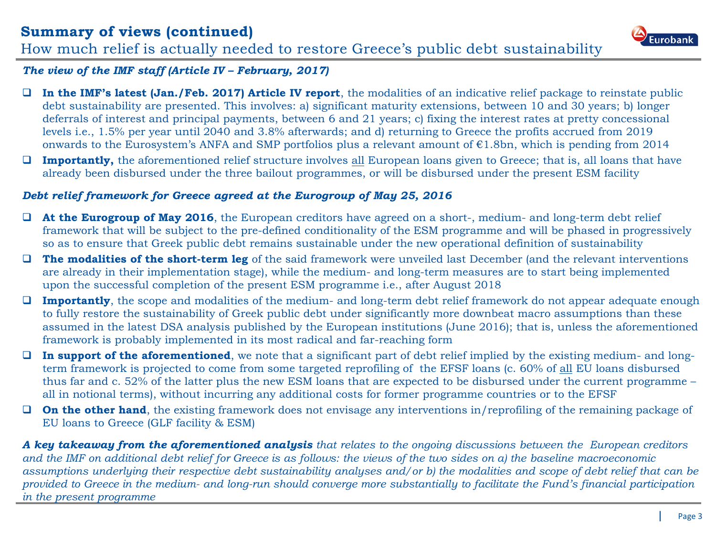### **Summary of views (continued)** How much relief is actually needed to restore Greece's public debt sustainability



#### *The view of the IMF staff (Article IV – February, 2017)*

- **In the IMF's latest (Jan./Feb. 2017) Article IV report**, the modalities of an indicative relief package to reinstate public debt sustainability are presented. This involves: a) significant maturity extensions, between 10 and 30 years; b) longer deferrals of interest and principal payments, between 6 and 21 years; c) fixing the interest rates at pretty concessional levels i.e., 1.5% per year until 2040 and 3.8% afterwards; and d) returning to Greece the profits accrued from 2019 onwards to the Eurosystem's ANFA and SMP portfolios plus a relevant amount of  $\epsilon$ 1.8bn, which is pending from 2014
- **Importantly,** the aforementioned relief structure involves all European loans given to Greece; that is, all loans that have already been disbursed under the three bailout programmes, or will be disbursed under the present ESM facility

#### *Debt relief framework for Greece agreed at the Eurogroup of May 25, 2016*

- **At the Eurogroup of May 2016**, the European creditors have agreed on a short-, medium- and long-term debt relief framework that will be subject to the pre-defined conditionality of the ESM programme and will be phased in progressively so as to ensure that Greek public debt remains sustainable under the new operational definition of sustainability
- **The modalities of the short-term leg** of the said framework were unveiled last December (and the relevant interventions are already in their implementation stage), while the medium- and long-term measures are to start being implemented upon the successful completion of the present ESM programme i.e., after August 2018
- **Importantly**, the scope and modalities of the medium- and long-term debt relief framework do not appear adequate enough to fully restore the sustainability of Greek public debt under significantly more downbeat macro assumptions than these assumed in the latest DSA analysis published by the European institutions (June 2016); that is, unless the aforementioned framework is probably implemented in its most radical and far-reaching form
- **In support of the aforementioned**, we note that a significant part of debt relief implied by the existing medium- and longterm framework is projected to come from some targeted reprofiling of the EFSF loans (c. 60% of all EU loans disbursed thus far and c. 52% of the latter plus the new ESM loans that are expected to be disbursed under the current programme – all in notional terms), without incurring any additional costs for former programme countries or to the EFSF
- **On the other hand**, the existing framework does not envisage any interventions in/reprofiling of the remaining package of EU loans to Greece (GLF facility & ESM)

*A key takeaway from the aforementioned analysis that relates to the ongoing discussions between the European creditors and the IMF on additional debt relief for Greece is as follows: the views of the two sides on a) the baseline macroeconomic assumptions underlying their respective debt sustainability analyses and/or b) the modalities and scope of debt relief that can be provided to Greece in the medium- and long-run should converge more substantially to facilitate the Fund's financial participation in the present programme*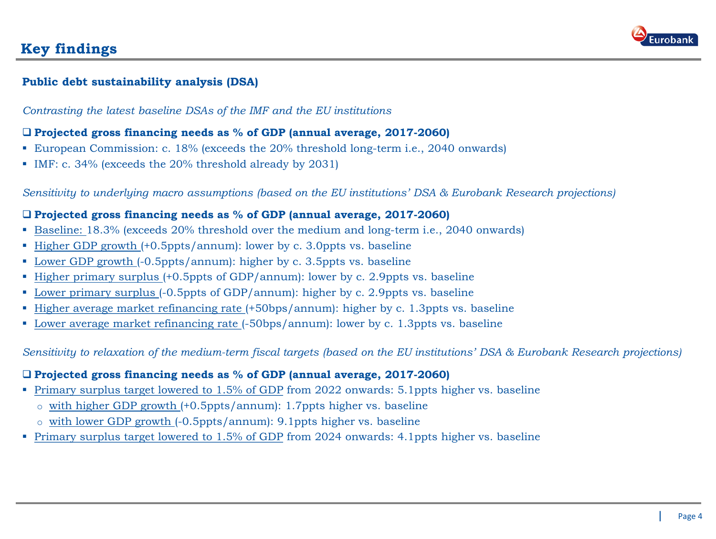

### **Key findings**

#### **Public debt sustainability analysis (DSA)**

*Contrasting the latest baseline DSAs of the IMF and the EU institutions* 

#### **Projected gross financing needs as % of GDP (annual average, 2017-2060)**

- European Commission: c. 18% (exceeds the 20% threshold long-term i.e., 2040 onwards)
- IMF: c. 34% (exceeds the 20% threshold already by 2031)

*Sensitivity to underlying macro assumptions (based on the EU institutions' DSA & Eurobank Research projections)*

#### **Projected gross financing needs as % of GDP (annual average, 2017-2060)**

- Baseline: 18.3% (exceeds 20% threshold over the medium and long-term i.e., 2040 onwards)
- Higher GDP growth (+0.5ppts/annum): lower by c. 3.0ppts vs. baseline
- Lower GDP growth (-0.5ppts/annum): higher by c. 3.5ppts vs. baseline
- Higher primary surplus (+0.5ppts of GDP/annum): lower by c. 2.9ppts vs. baseline
- Lower primary surplus (-0.5ppts of GDP/annum): higher by c. 2.9ppts vs. baseline
- Higher average market refinancing rate (+50bps/annum): higher by c. 1.3ppts vs. baseline
- Lower average market refinancing rate (-50bps/annum): lower by c. 1.3ppts vs. baseline

*Sensitivity to relaxation of the medium-term fiscal targets (based on the EU institutions' DSA & Eurobank Research projections)*

#### **Projected gross financing needs as % of GDP (annual average, 2017-2060)**

- **Primary surplus target lowered to 1.5% of GDP from 2022 onwards: 5.1ppts higher vs. baseline** 
	- o with higher GDP growth (+0.5ppts/annum): 1.7ppts higher vs. baseline
	- o with lower GDP growth (-0.5ppts/annum): 9.1ppts higher vs. baseline
- **Primary surplus target lowered to 1.5% of GDP from 2024 onwards: 4.1ppts higher vs. baseline**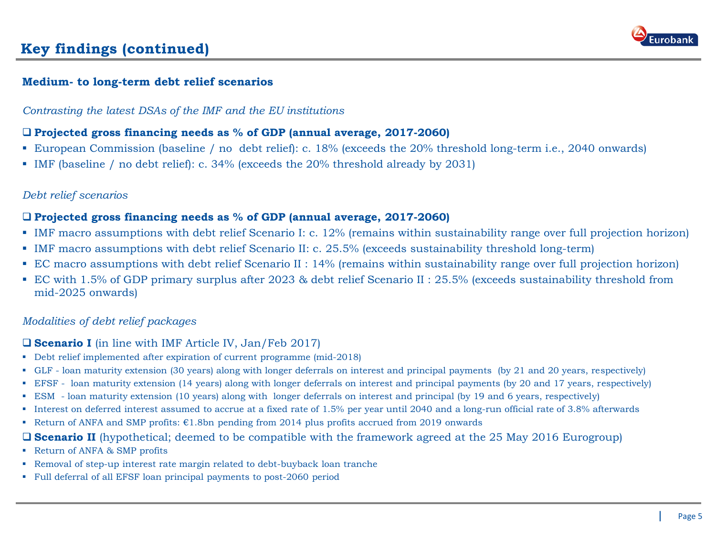

### **Key findings (continued)**

#### **Medium- to long-term debt relief scenarios**

*Contrasting the latest DSAs of the IMF and the EU institutions* 

#### **Projected gross financing needs as % of GDP (annual average, 2017-2060)**

- European Commission (baseline / no debt relief): c. 18% (exceeds the 20% threshold long-term i.e., 2040 onwards)
- IMF (baseline / no debt relief): c. 34% (exceeds the 20% threshold already by 2031)

#### *Debt relief scenarios*

#### **Projected gross financing needs as % of GDP (annual average, 2017-2060)**

- IMF macro assumptions with debt relief Scenario I: c. 12% (remains within sustainability range over full projection horizon)
- IMF macro assumptions with debt relief Scenario II: c. 25.5% (exceeds sustainability threshold long-term)
- EC macro assumptions with debt relief Scenario II : 14% (remains within sustainability range over full projection horizon)
- EC with 1.5% of GDP primary surplus after 2023 & debt relief Scenario II : 25.5% (exceeds sustainability threshold from mid-2025 onwards)

#### *Modalities of debt relief packages*

#### **Scenario I** (in line with IMF Article IV, Jan/Feb 2017)

- Debt relief implemented after expiration of current programme (mid-2018)
- GLF loan maturity extension (30 years) along with longer deferrals on interest and principal payments (by 21 and 20 years, respectively)
- EFSF loan maturity extension (14 years) along with longer deferrals on interest and principal payments (by 20 and 17 years, respectively)
- ESM loan maturity extension (10 years) along with longer deferrals on interest and principal (by 19 and 6 years, respectively)
- Interest on deferred interest assumed to accrue at a fixed rate of 1.5% per year until 2040 and a long-run official rate of 3.8% afterwards
- Return of ANFA and SMP profits:  $E1.8$ bn pending from 2014 plus profits accrued from 2019 onwards

#### **Scenario II** (hypothetical; deemed to be compatible with the framework agreed at the 25 May 2016 Eurogroup)

- Return of ANFA & SMP profits
- Removal of step-up interest rate margin related to debt-buyback loan tranche
- Full deferral of all EFSF loan principal payments to post-2060 period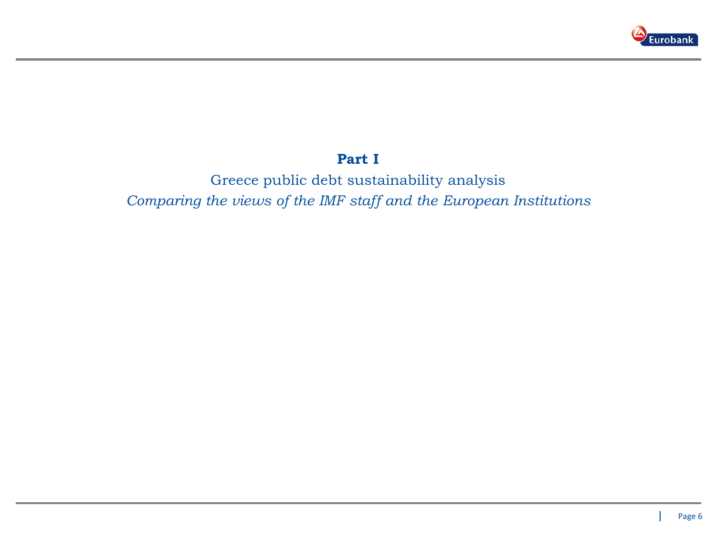

### **Part I**

Greece public debt sustainability analysis *Comparing the views of the IMF staff and the European Institutions*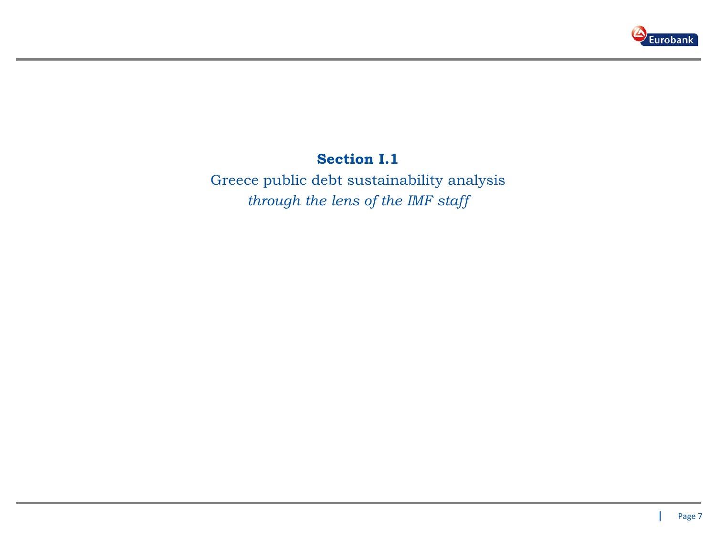

### **Section I.1**

Greece public debt sustainability analysis *through the lens of the IMF staff*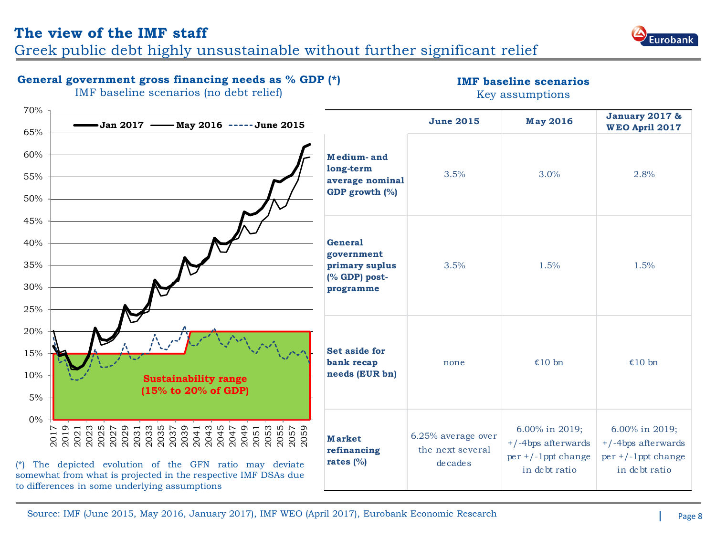### **The view of the IMF staff**

Greek public debt highly unsustainable without further significant relief

#### **General government gross financing needs as % GDP (\*)**

**IMF baseline scenarios**  Key assumptions



Source: IMF (June 2015, May 2016, January 2017), IMF WEO (April 2017), Eurobank Economic Research Page 8



IMF baseline scenarios (no debt relief)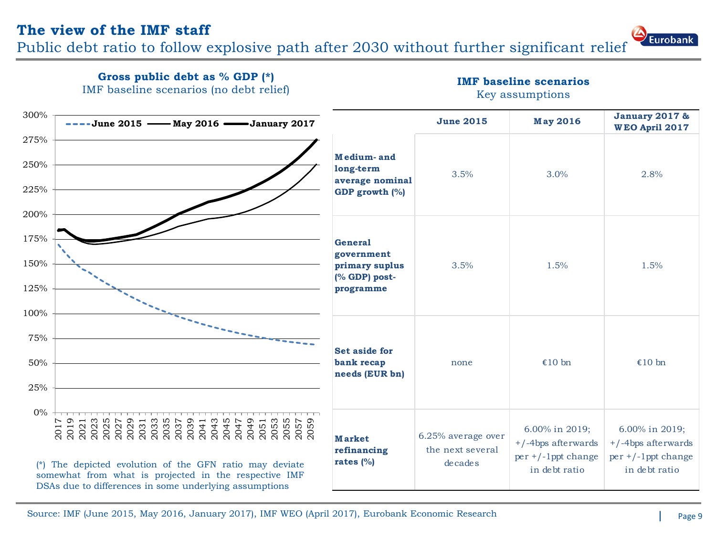Public debt ratio to follow explosive path after 2030 without further significant relief





**IMF baseline scenarios** 

|  | Key assumptions |
|--|-----------------|
|  |                 |
|  |                 |

|      |                                                                                                                 | IMF baseline scenarios (no debt relief) |                              |                                            |                             | Key assumptions                         |                                                    |
|------|-----------------------------------------------------------------------------------------------------------------|-----------------------------------------|------------------------------|--------------------------------------------|-----------------------------|-----------------------------------------|----------------------------------------------------|
| 300% | $---$ June 2015 — May 2016 — January 2017                                                                       |                                         |                              |                                            | <b>June 2015</b>            | <b>May 2016</b>                         | <b>January 2017 &amp;</b><br><b>WEO April 2017</b> |
| 275% |                                                                                                                 |                                         |                              |                                            |                             |                                         |                                                    |
| 250% |                                                                                                                 |                                         |                              | Medium-and<br>long-term<br>average nominal | 3.5%                        | 3.0%                                    | 2.8%                                               |
| 225% |                                                                                                                 |                                         |                              | GDP growth (%)                             |                             |                                         |                                                    |
| 200% |                                                                                                                 |                                         |                              |                                            |                             |                                         |                                                    |
| 175% |                                                                                                                 |                                         |                              | <b>General</b>                             |                             |                                         |                                                    |
| 150% |                                                                                                                 |                                         |                              | government<br>primary suplus               | 3.5%                        | 1.5%                                    | 1.5%                                               |
| 125% |                                                                                                                 |                                         |                              | (% GDP) post-<br>programme                 |                             |                                         |                                                    |
| 100% |                                                                                                                 |                                         |                              |                                            |                             |                                         |                                                    |
| 75%  |                                                                                                                 |                                         |                              |                                            |                             |                                         |                                                    |
| 50%  |                                                                                                                 |                                         |                              | <b>Set aside for</b><br>bank recap         | none                        | €10 $bn$                                | €10 $bn$                                           |
| 25%  |                                                                                                                 |                                         |                              | needs (EUR bn)                             |                             |                                         |                                                    |
| 0%   | ™ G<br>ന<br>$\sigma$                                                                                            |                                         |                              |                                            |                             |                                         |                                                    |
| 201  | 2031<br>2023<br>2023<br>2023<br>2023                                                                            | 2033<br>2035<br>2037<br>2039            | 2053<br>2055<br>2057<br>2059 | <b>Market</b>                              | 6.25% average over          | 6.00% in 2019;<br>$+/-4$ bps afterwards | 6.00% in 2019;<br>$+/-4$ bps afterwards            |
|      | The depicted evolution of the GFN ratio may deviate                                                             |                                         |                              | refinancing<br>rates $(%)$                 | the next several<br>decades | $per +/-1$ ppt change                   | $per +/-1$ ppt change                              |
|      | somewhat from what is projected in the respective IMF<br>DSAs due to differences in some underlying assumptions |                                         |                              |                                            |                             | in debt ratio                           | in debt ratio                                      |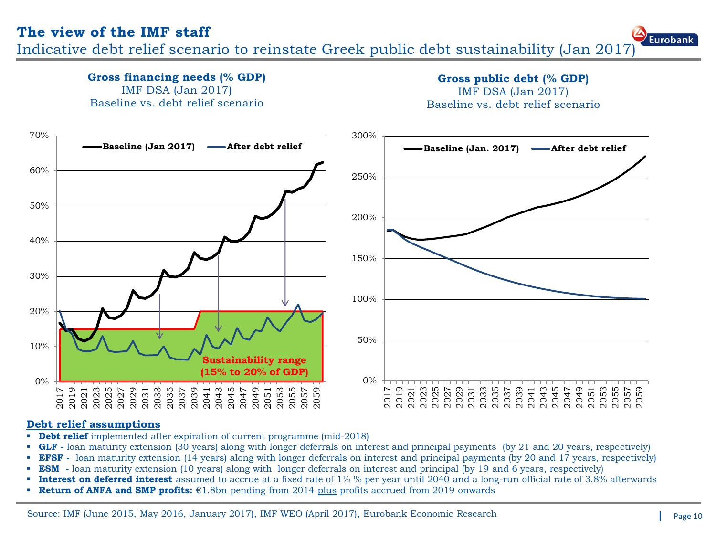**Gross financing needs (% GDP)** 

Indicative debt relief scenario to reinstate Greek public debt sustainability (Jan 2017)

**Gross public debt (% GDP)** 



#### **Debt relief assumptions**

- **Debt relief** implemented after expiration of current programme (mid-2018)
- **GLF** loan maturity extension (30 years) along with longer deferrals on interest and principal payments (by 21 and 20 years, respectively)
- **EFSF** loan maturity extension (14 years) along with longer deferrals on interest and principal payments (by 20 and 17 years, respectively)
- **ESM** loan maturity extension (10 years) along with longer deferrals on interest and principal (by 19 and 6 years, respectively)
- **Interest on deferred interest** assumed to accrue at a fixed rate of 1½ % per year until 2040 and a long-run official rate of 3.8% afterwards
- **Return of ANFA and SMP profits:** €1.8bn pending from 2014 plus profits accrued from 2019 onwards

Eurobank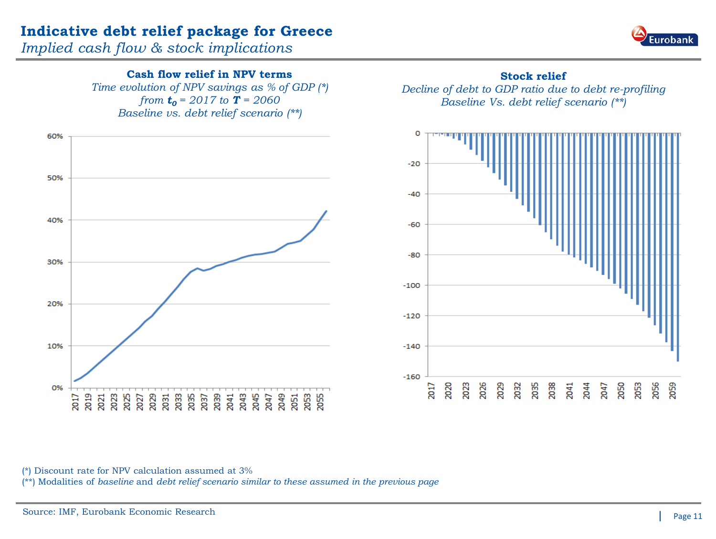### **Indicative debt relief package for Greece**

*Implied cash flow & stock implications*



#### **Cash flow relief in NPV terms**

*Time evolution of NPV savings as % of GDP (\*) from*  $t_0 = 2017$  *to*  $T = 2060$ *Baseline vs. debt relief scenario (\*\*)*



#### **Stock relief**

*Decline of debt to GDP ratio due to debt re-profiling Baseline Vs. debt relief scenario (\*\*)*



(\*) Discount rate for NPV calculation assumed at 3%

(\*\*) Modalities of *baseline* and *debt relief scenario similar to these assumed in the previous page*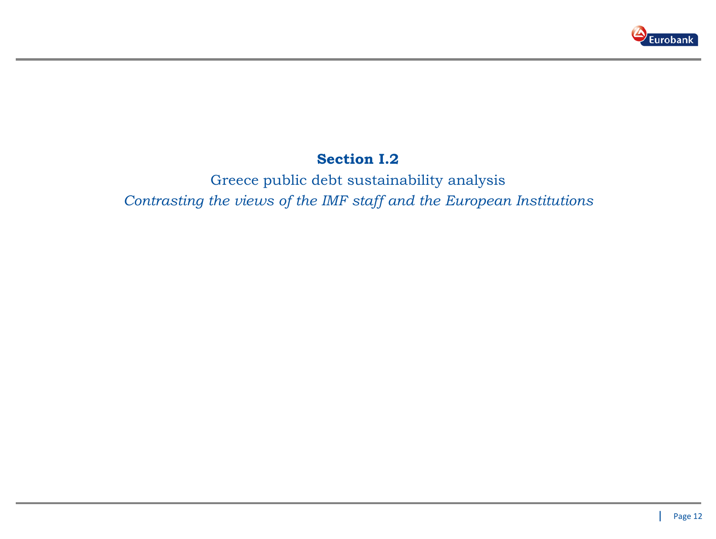

### **Section I.2**

Greece public debt sustainability analysis *Contrasting the views of the IMF staff and the European Institutions*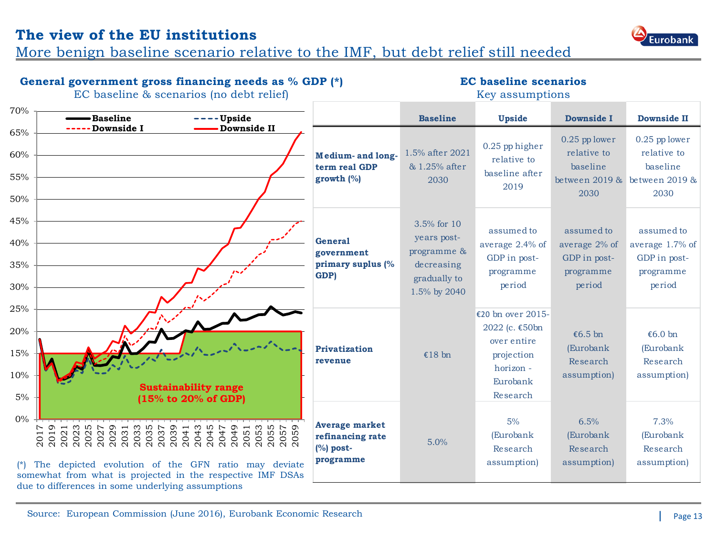### **The view of the EU institutions**

More benign baseline scenario relative to the IMF, but debt relief still needed



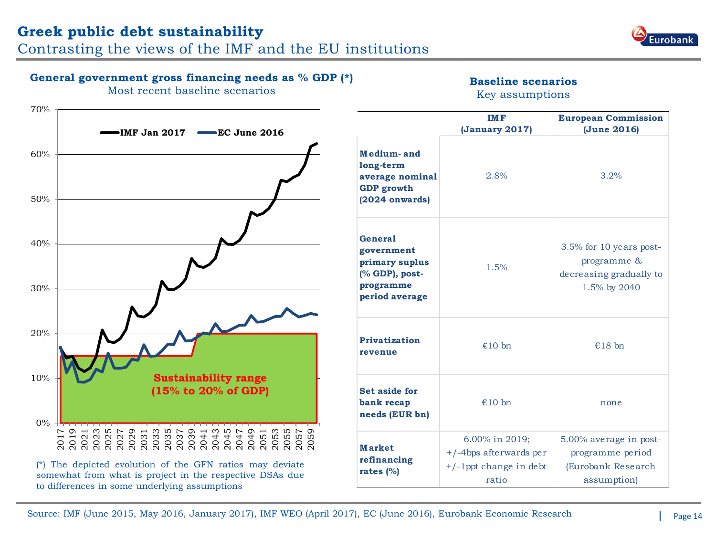## **Greek public debt sustainability**

Contrasting the views of the IMF and the EU institutions



#### **General government gross financing needs as % GDP (\*)**

Most recent baseline scenarios

### **Baseline scenarios**

|              | Most recent baseline scenarios                                                                                   |                                                                                                 | Key assumptions                                                                   |                                                                                         |
|--------------|------------------------------------------------------------------------------------------------------------------|-------------------------------------------------------------------------------------------------|-----------------------------------------------------------------------------------|-----------------------------------------------------------------------------------------|
| 70%          | <b>- IMF Jan 2017</b><br>EC June 2016                                                                            |                                                                                                 | <b>IMF</b><br>(January 2017)                                                      | <b>European Commission</b><br>(June 2016)                                               |
| 60%<br>50%   |                                                                                                                  | Medium-and<br>long-term<br>average nominal<br><b>GDP</b> growth<br>$(2024$ onwards)             | 2.8%                                                                              | 3.2%                                                                                    |
| 40%<br>30%   |                                                                                                                  | <b>General</b><br>government<br>primary suplus<br>(% GDP), post-<br>programme<br>period average | 1.5%                                                                              | 3.5% for 10 years post-<br>programme &<br>decreasing gradually to<br>1.5% by 2040       |
| 20%          |                                                                                                                  | <b>Privatization</b><br>revenue                                                                 | €10 $bn$                                                                          | €18 bn                                                                                  |
| 10%<br>$0\%$ | <b>Sustainability range</b><br>(15% to 20% of GDP)                                                               | Set aside for<br>bank recap<br>needs (EUR bn)                                                   | €10 $bn$                                                                          | none                                                                                    |
| Ņ<br>201     | The depicted evolution of the GFN ratios may deviate<br>somewhat from what is project in the respective DSAs due | <b>Market</b><br>refinancing<br>rates $(%)$                                                     | 6.00% in 2019;<br>$+/-4$ bps afterwards per<br>$+/-1$ ppt change in debt<br>ratio | 5.00% average in post-<br>programme period<br>(Eurobank Research<br><i>assumption</i> ) |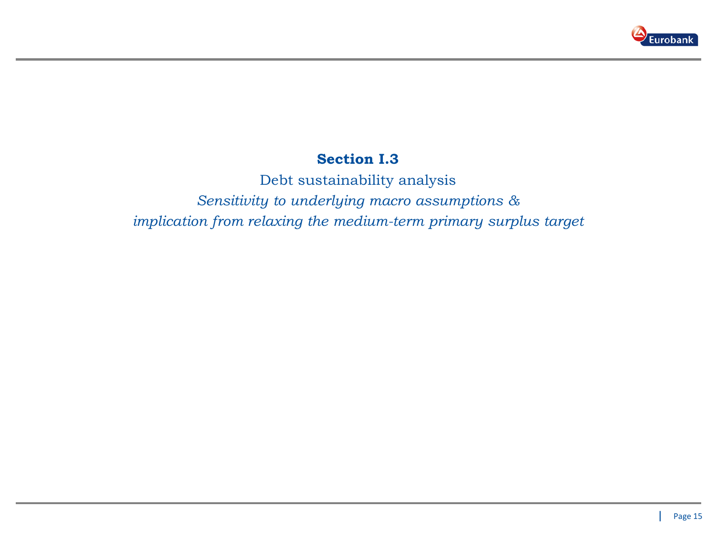

### **Section I.3**

Debt sustainability analysis *Sensitivity to underlying macro assumptions & implication from relaxing the medium-term primary surplus target*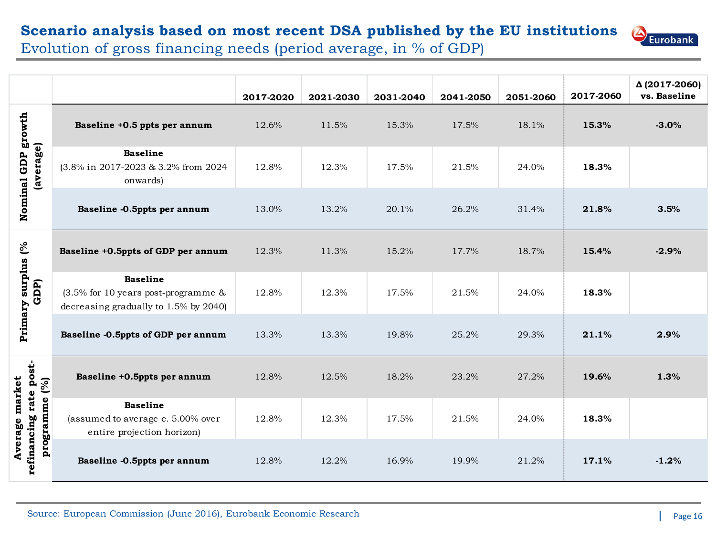# **Scenario analysis based on most recent DSA published by the EU institutions**



Evolution of gross financing needs (period average, in % of GDP)

|                                                           |                                                                                                       | 2017-2020 | 2021-2030 | 2031-2040 | 2041-2050 | 2051-2060 | 2017-2060 | Δ (2017-2060)<br>vs. Baseline |
|-----------------------------------------------------------|-------------------------------------------------------------------------------------------------------|-----------|-----------|-----------|-----------|-----------|-----------|-------------------------------|
|                                                           | Baseline +0.5 ppts per annum                                                                          | 12.6%     | 11.5%     | 15.3%     | 17.5%     | 18.1%     | 15.3%     | $-3.0%$                       |
| Nominal GDP growth<br>(average)                           | <b>Baseline</b><br>(3.8% in 2017-2023 & 3.2% from 2024<br>onwards)                                    | 12.8%     | 12.3%     | 17.5%     | 21.5%     | 24.0%     | 18.3%     |                               |
|                                                           | Baseline -0.5ppts per annum                                                                           | 13.0%     | 13.2%     | 20.1%     | 26.2%     | 31.4%     | 21.8%     | 3.5%                          |
|                                                           | Baseline +0.5ppts of GDP per annum                                                                    | 12.3%     | 11.3%     | 15.2%     | 17.7%     | 18.7%     | 15.4%     | $-2.9%$                       |
| Primary surplus (%<br>GDP)                                | <b>Baseline</b><br>$(3.5\%$ for 10 years post-programme $\&$<br>decreasing gradually to 1.5% by 2040) | 12.8%     | 12.3%     | 17.5%     | 21.5%     | 24.0%     | 18.3%     |                               |
|                                                           | Baseline -0.5ppts of GDP per annum                                                                    | 13.3%     | 13.3%     | 19.8%     | 25.2%     | 29.3%     | 21.1%     | 2.9%                          |
|                                                           | Baseline +0.5ppts per annum                                                                           | 12.8%     | 12.5%     | 18.2%     | 23.2%     | 27.2%     | 19.6%     | 1.3%                          |
| refinancing rate post-<br>Average market<br>programme (%) | <b>Baseline</b><br>(assumed to average c. 5.00% over<br>entire projection horizon)                    | 12.8%     | 12.3%     | 17.5%     | 21.5%     | 24.0%     | 18.3%     |                               |
|                                                           | Baseline -0.5ppts per annum                                                                           | 12.8%     | 12.2%     | 16.9%     | 19.9%     | 21.2%     | 17.1%     | $-1.2%$                       |

Source: European Commission (June 2016), Eurobank Economic Research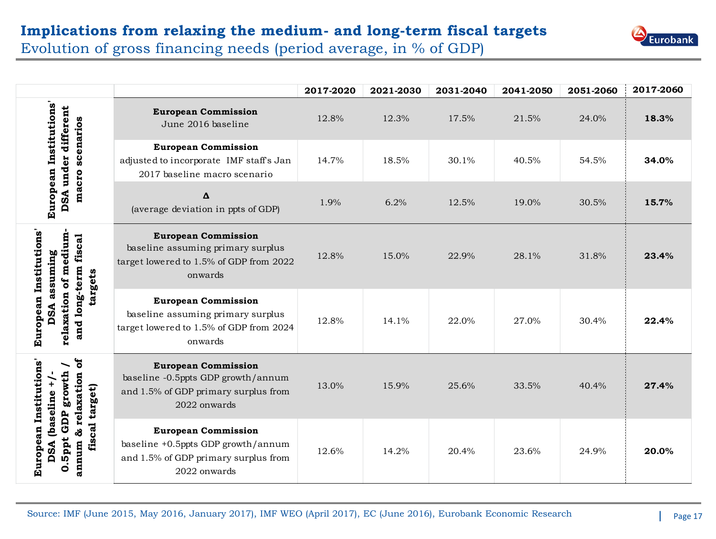# **Implications from relaxing the medium- and long-term fiscal targets**



Evolution of gross financing needs (period average, in % of GDP)

|                                                                                                  |                                                                                                                          | 2017-2020 | 2021-2030 | 2031-2040 | 2041-2050 | 2051-2060 | 2017-2060 |
|--------------------------------------------------------------------------------------------------|--------------------------------------------------------------------------------------------------------------------------|-----------|-----------|-----------|-----------|-----------|-----------|
|                                                                                                  | <b>European Commission</b><br>June 2016 baseline                                                                         | 12.8%     | 12.3%     | 17.5%     | 21.5%     | 24.0%     | 18.3%     |
| European Institutions'<br>DSA under different<br>scenarios                                       | <b>European Commission</b><br>adjusted to incorporate IMF staff's Jan<br>2017 baseline macro scenario                    | 14.7%     | 18.5%     | 30.1%     | 40.5%     | 54.5%     | 34.0%     |
| macro                                                                                            | Δ<br>(average deviation in ppts of GDP)                                                                                  | 1.9%      | 6.2%      | 12.5%     | 19.0%     | 30.5%     | 15.7%     |
| European Institutions'<br>medium<br>fiscal<br>assuming<br>targets<br>đ                           | <b>European Commission</b><br>baseline assuming primary surplus<br>target lowered to 1.5% of GDP from 2022<br>onwards    | 12.8%     | 15.0%     | 22.9%     | 28.1%     | 31.8%     | 23.4%     |
| and long-term<br>relaxation<br>DSA                                                               | <b>European Commission</b><br>baseline assuming primary surplus<br>target lowered to 1.5% of GDP from 2024<br>onwards    | 12.8%     | 14.1%     | 22.0%     | 27.0%     | 30.4%     | 22.4%     |
| ð<br>European Institutions'<br>growth<br>relaxation<br>$\ddot{+}$<br>fiscal target)<br>(baseline | <b>European Commission</b><br>baseline -0.5ppts GDP growth/annum<br>and 1.5% of GDP primary surplus from<br>2022 onwards | 13.0%     | 15.9%     | 25.6%     | 33.5%     | 40.4%     | 27.4%     |
| GDP<br>ಸೆ<br>. Sppt<br>DSA<br>annum<br>$\bullet$                                                 | <b>European Commission</b><br>baseline +0.5ppts GDP growth/annum<br>and 1.5% of GDP primary surplus from<br>2022 onwards | 12.6%     | 14.2%     | 20.4%     | 23.6%     | 24.9%     | 20.0%     |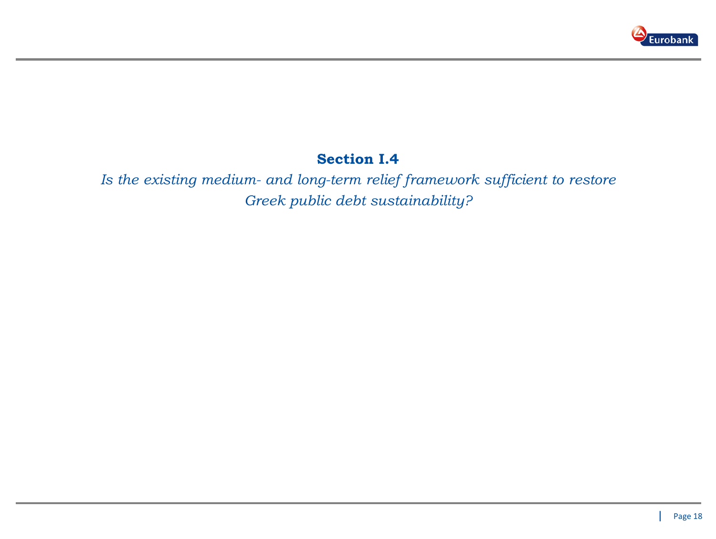

### **Section I.4**

*Is the existing medium- and long-term relief framework sufficient to restore Greek public debt sustainability?*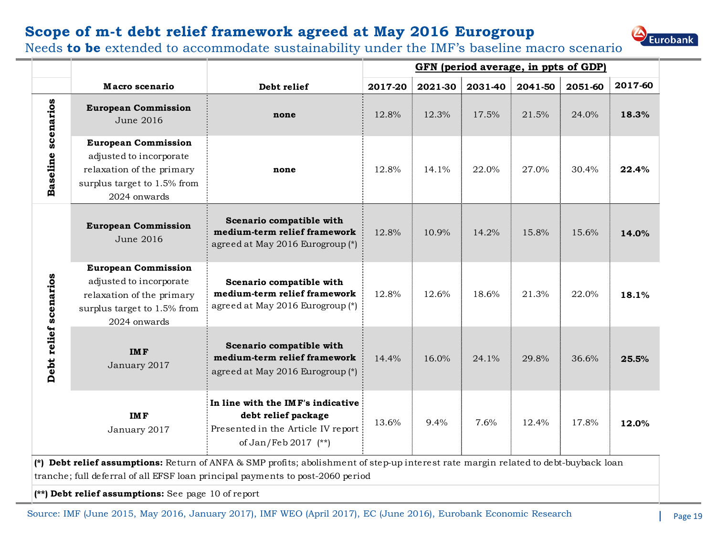### **Scope of m-t debt relief framework agreed at May 2016 Eurogroup**



|                       |                                                                                                                                   |                                                                                                                        |         |         | GFN (period average, in ppts of GDP) |         |         |         |
|-----------------------|-----------------------------------------------------------------------------------------------------------------------------------|------------------------------------------------------------------------------------------------------------------------|---------|---------|--------------------------------------|---------|---------|---------|
|                       | Macro scenario                                                                                                                    | Debt relief                                                                                                            | 2017-20 | 2021-30 | 2031-40                              | 2041-50 | 2051-60 | 2017-60 |
|                       | <b>European Commission</b><br>June 2016                                                                                           | none                                                                                                                   | 12.8%   | 12.3%   | 17.5%                                | 21.5%   | 24.0%   | 18.3%   |
| scenarios<br>Baseline | <b>European Commission</b><br>adjusted to incorporate<br>relaxation of the primary<br>surplus target to 1.5% from<br>2024 onwards | none                                                                                                                   | 12.8%   | 14.1%   | 22.0%                                | 27.0%   | 30.4%   | 22.4%   |
|                       | <b>European Commission</b><br>June 2016                                                                                           | Scenario compatible with<br>medium-term relief framework<br>agreed at May 2016 Eurogroup (*)                           | 12.8%   | 10.9%   | 14.2%                                | 15.8%   | 15.6%   | 14.0%   |
| Debt relief scenarios | <b>European Commission</b><br>adjusted to incorporate<br>relaxation of the primary<br>surplus target to 1.5% from<br>2024 onwards | Scenario compatible with<br>medium-term relief framework<br>agreed at May 2016 Eurogroup (*)                           | 12.8%   | 12.6%   | 18.6%                                | 21.3%   | 22.0%   | 18.1%   |
|                       | <b>IMF</b><br>January 2017                                                                                                        | Scenario compatible with<br>medium-term relief framework<br>agreed at May 2016 Eurogroup (*)                           | 14.4%   | 16.0%   | 24.1%                                | 29.8%   | 36.6%   | 25.5%   |
|                       | <b>IMF</b><br>January 2017                                                                                                        | In line with the IMF's indicative<br>debt relief package<br>Presented in the Article IV report<br>of Jan/Feb 2017 (**) | 13.6%   | 9.4%    | 7.6%                                 | 12.4%   | 17.8%   | 12.0%   |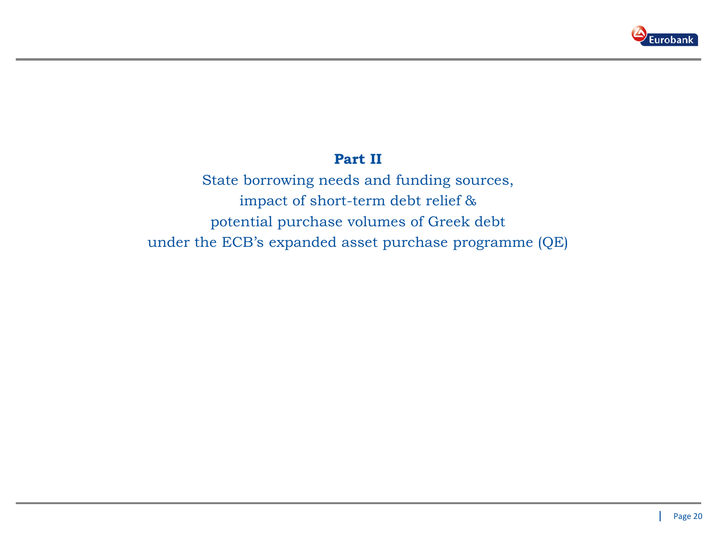

### **Part II**

State borrowing needs and funding sources, impact of short-term debt relief & potential purchase volumes of Greek debt under the ECB's expanded asset purchase programme (QE)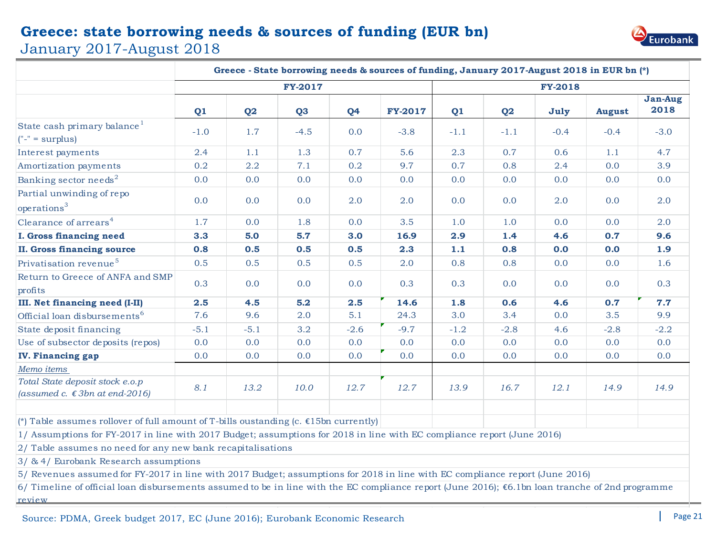### **Greece: state borrowing needs & sources of funding (EUR bn)**





|                                                                                                                                                                                                                                                                                    |        |          |                |                | Greece - State borrowing needs & sources of funding, January 2017-August 2018 in EUR bn (*) |        |                |                |               |                        |
|------------------------------------------------------------------------------------------------------------------------------------------------------------------------------------------------------------------------------------------------------------------------------------|--------|----------|----------------|----------------|---------------------------------------------------------------------------------------------|--------|----------------|----------------|---------------|------------------------|
|                                                                                                                                                                                                                                                                                    |        |          | <b>FY-2017</b> |                |                                                                                             |        |                | <b>FY-2018</b> |               |                        |
|                                                                                                                                                                                                                                                                                    | Q1     | $\bf Q2$ | Q <sub>3</sub> | Q <sub>4</sub> | <b>FY-2017</b>                                                                              | Q1     | Q <sub>2</sub> | July           | <b>August</b> | <b>Jan-Aug</b><br>2018 |
| State cash primary balance <sup>1</sup><br>$("-" = surplus)$                                                                                                                                                                                                                       | $-1.0$ | 1.7      | $-4.5$         | 0.0            | $-3.8$                                                                                      | $-1.1$ | $-1.1$         | $-0.4$         | $-0.4$        | $-3.0$                 |
| Interest payments                                                                                                                                                                                                                                                                  | 2.4    | 1.1      | 1.3            | 0.7            | 5.6                                                                                         | 2.3    | 0.7            | 0.6            | 1.1           | 4.7                    |
| Amortization payments                                                                                                                                                                                                                                                              | 0.2    | 2.2      | 7.1            | 0.2            | 9.7                                                                                         | 0.7    | 0.8            | 2.4            | 0.0           | 3.9                    |
| Banking sector needs <sup>2</sup>                                                                                                                                                                                                                                                  | 0.0    | 0.0      | 0.0            | 0.0            | 0.0                                                                                         | 0.0    | 0.0            | 0.0            | 0.0           | 0.0                    |
| Partial unwinding of repo<br>operations <sup>3</sup>                                                                                                                                                                                                                               | 0.0    | 0.0      | 0.0            | 2.0            | 2.0                                                                                         | 0.0    | 0.0            | 2.0            | 0.0           | 2.0                    |
| Clearance of arrears <sup>4</sup>                                                                                                                                                                                                                                                  | 1.7    | 0.0      | 1.8            | 0.0            | 3.5                                                                                         | 1.0    | 1.0            | 0.0            | 0.0           | 2.0                    |
| <b>I. Gross financing need</b>                                                                                                                                                                                                                                                     | 3.3    | 5.0      | 5.7            | 3.0            | 16.9                                                                                        | 2.9    | 1.4            | 4.6            | 0.7           | 9.6                    |
| <b>II. Gross financing source</b>                                                                                                                                                                                                                                                  | 0.8    | 0.5      | 0.5            | 0.5            | 2.3                                                                                         | 1.1    | 0.8            | 0.0            | 0.0           | 1.9                    |
| Privatisation revenue <sup>5</sup>                                                                                                                                                                                                                                                 | 0.5    | 0.5      | 0.5            | 0.5            | 2.0                                                                                         | 0.8    | 0.8            | 0.0            | 0.0           | 1.6                    |
| Return to Greece of ANFA and SMP<br>profits                                                                                                                                                                                                                                        | 0.3    | 0.0      | 0.0            | 0.0            | 0.3                                                                                         | 0.3    | 0.0            | 0.0            | 0.0           | 0.3                    |
| III. Net financing need (I-II)                                                                                                                                                                                                                                                     | 2.5    | 4.5      | $5.2$          | 2.5            | 14.6                                                                                        | 1.8    | 0.6            | 4.6            | 0.7           | 7.7                    |
| Official loan disbursements <sup>6</sup>                                                                                                                                                                                                                                           | 7.6    | 9.6      | 2.0            | 5.1            | 24.3                                                                                        | 3.0    | 3.4            | 0.0            | 3.5           | 9.9                    |
| State deposit financing                                                                                                                                                                                                                                                            | $-5.1$ | $-5.1$   | 3.2            | $-2.6$         | $-9.7$                                                                                      | $-1.2$ | $-2.8$         | 4.6            | $-2.8$        | $-2.2$                 |
| Use of subsector deposits (repos)                                                                                                                                                                                                                                                  | 0.0    | 0.0      | 0.0            | 0.0            | 0.0                                                                                         | 0.0    | 0.0            | 0.0            | 0.0           | 0.0                    |
| <b>IV. Financing gap</b>                                                                                                                                                                                                                                                           | 0.0    | 0.0      | 0.0            | 0.0            | 0.0                                                                                         | 0.0    | 0.0            | 0.0            | 0.0           | 0.0                    |
| Memo items                                                                                                                                                                                                                                                                         |        |          |                |                |                                                                                             |        |                |                |               |                        |
| Total State deposit stock e.o.p<br>(assumed c. $\epsilon$ 3bn at end-2016)                                                                                                                                                                                                         | 8.1    | 13.2     | 10.0           | 12.7           | 12.7                                                                                        | 13.9   | 16.7           | 12.1           | 14.9          | 14.9                   |
| ( $*$ ) Table assumes rollover of full amount of T-bills oustanding (c. €15bn currently)<br>1/ Assumptions for FY-2017 in line with 2017 Budget; assumptions for 2018 in line with EC compliance report (June 2016)<br>2/ Table assumes no need for any new bank recapitalisations |        |          |                |                |                                                                                             |        |                |                |               |                        |

3/ & 4/ Eurobank Research assumptions

5/ Revenues assumed for FY-2017 in line with 2017 Budget; assumptions for 2018 in line with EC compliance report (June 2016)

6/ Timeline of official loan disbursements assumed to be in line with the EC compliance report (June 2016); €6.1bn loan tranche of 2nd programme review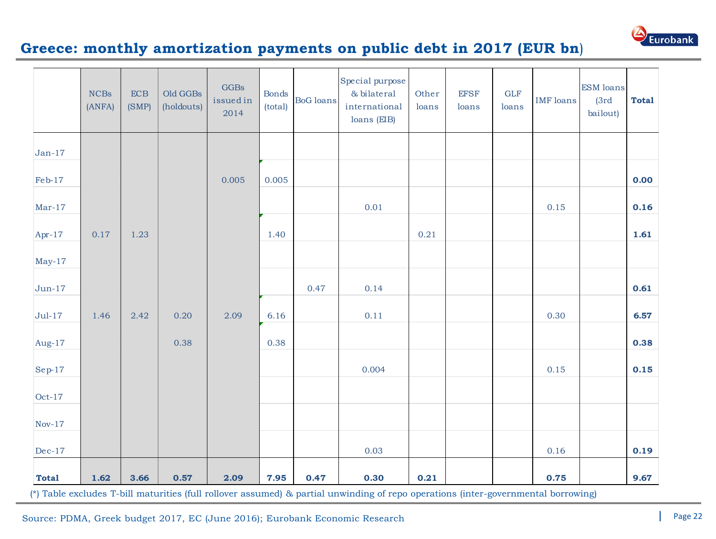

### **Greece: monthly amortization payments on public debt in 2017 (EUR bn**)

|              | <b>NCBs</b><br>(ANFA) | ECB<br>(SMP) | Old GGBs<br>(holdouts) | <b>GGBs</b><br>issuedin<br>2014 | <b>Bonds</b><br>(total) | <b>BoG</b> loans | Special purpose<br>& bilateral<br>international<br>loans (EIB)                                                                             | Other<br>loans | <b>EFSF</b><br>loans | <b>GLF</b><br>loans | <b>IMF</b> loans | <b>ESM</b> loans<br>(3rd)<br>bailout) | <b>Total</b> |
|--------------|-----------------------|--------------|------------------------|---------------------------------|-------------------------|------------------|--------------------------------------------------------------------------------------------------------------------------------------------|----------------|----------------------|---------------------|------------------|---------------------------------------|--------------|
| $Jan-17$     |                       |              |                        |                                 |                         |                  |                                                                                                                                            |                |                      |                     |                  |                                       |              |
| Feb-17       |                       |              |                        | 0.005                           | 0.005                   |                  |                                                                                                                                            |                |                      |                     |                  |                                       | 0.00         |
| $Mar-17$     |                       |              |                        |                                 |                         |                  | 0.01                                                                                                                                       |                |                      |                     | 0.15             |                                       | 0.16         |
| Apr-17       | 0.17                  | 1.23         |                        |                                 | 1.40                    |                  |                                                                                                                                            | 0.21           |                      |                     |                  |                                       | 1.61         |
| $May-17$     |                       |              |                        |                                 |                         |                  |                                                                                                                                            |                |                      |                     |                  |                                       |              |
| $Jun-17$     |                       |              |                        |                                 |                         | 0.47             | 0.14                                                                                                                                       |                |                      |                     |                  |                                       | 0.61         |
| $Jul-17$     | 1.46                  | 2.42         | 0.20                   | 2.09                            | 6.16                    |                  | 0.11                                                                                                                                       |                |                      |                     | 0.30             |                                       | 6.57         |
| Aug-17       |                       |              | 0.38                   |                                 | 0.38                    |                  |                                                                                                                                            |                |                      |                     |                  |                                       | 0.38         |
| $Sep-17$     |                       |              |                        |                                 |                         |                  | 0.004                                                                                                                                      |                |                      |                     | 0.15             |                                       | 0.15         |
| $Oct-17$     |                       |              |                        |                                 |                         |                  |                                                                                                                                            |                |                      |                     |                  |                                       |              |
| $Nov-17$     |                       |              |                        |                                 |                         |                  |                                                                                                                                            |                |                      |                     |                  |                                       |              |
| $Dec-17$     |                       |              |                        |                                 |                         |                  | 0.03                                                                                                                                       |                |                      |                     | 0.16             |                                       | 0.19         |
| <b>Total</b> | 1.62                  | 3.66         | 0.57                   | 2.09                            | 7.95                    | 0.47             | 0.30<br>(*) Table excludes T-bill maturities (full rollover assumed) & partial unwinding of repo operations (inter-governmental borrowing) | 0.21           |                      |                     | 0.75             |                                       | 9.67         |

Source: PDMA, Greek budget 2017, EC (June 2016); Eurobank Economic Research Page 22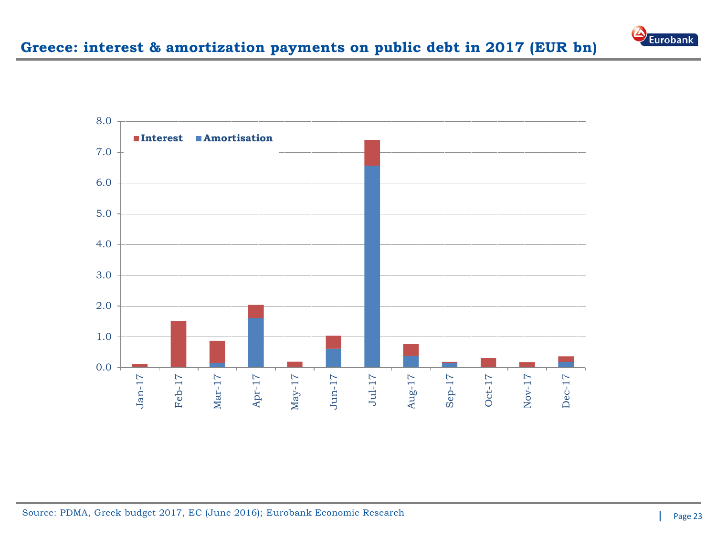

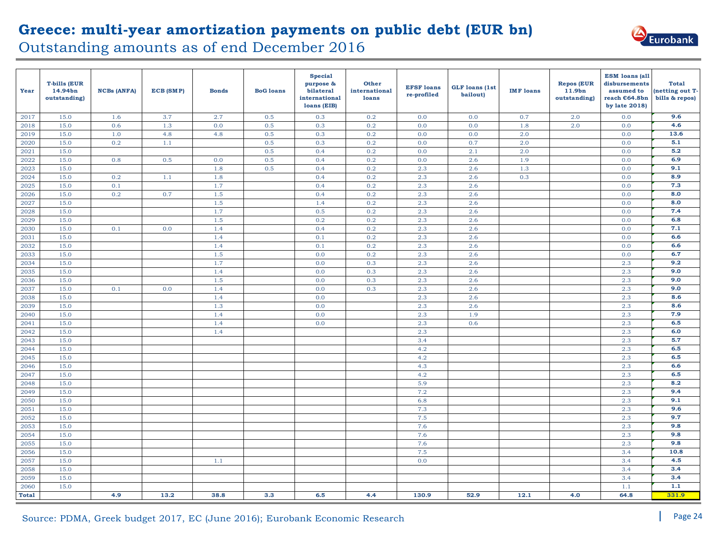

|              |                                                | Outstanding amounts as of end December 2016 |           |              |                  |                                                                          |                                        |                                  | Greece: multi-year amortization payments on public debt (EUR bn) |                  |                                                         |                                                                                         | Eurobank                                          |
|--------------|------------------------------------------------|---------------------------------------------|-----------|--------------|------------------|--------------------------------------------------------------------------|----------------------------------------|----------------------------------|------------------------------------------------------------------|------------------|---------------------------------------------------------|-----------------------------------------------------------------------------------------|---------------------------------------------------|
| Year         | <b>T-bills (EUR</b><br>14.94bn<br>outstanding) | <b>NCBs (ANFA)</b>                          | ECB (SMP) | <b>Bonds</b> | <b>BoG</b> loans | <b>Special</b><br>purpose &<br>bilateral<br>international<br>loans (EIB) | <b>Other</b><br>international<br>loans | <b>EFSF</b> loans<br>re-profiled | <b>GLF</b> loans (1st<br>bailout)                                | <b>IMF</b> loans | <b>Repos (EUR</b><br>11.9 <sub>bn</sub><br>outstanding) | <b>ESM</b> loans (all<br>disbursements<br>assumed to<br>reach €64.8bn<br>by late $2018$ | <b>Total</b><br>(netting out T-<br>bills & repos) |
| 2017         | 15.0                                           | 1.6                                         | 3.7       | 2.7          | 0.5              | 0.3                                                                      | 0.2                                    | 0.0                              | 0.0                                                              | 0.7              | 2.0                                                     | 0.0                                                                                     | 9.6                                               |
| 2018         | 15.0                                           | 0.6                                         | 1.3       | 0.0          | 0.5              | 0.3                                                                      | 0.2                                    | 0.0                              | 0.0                                                              | 1.8              | 2.0                                                     | 0.0                                                                                     | 4.6                                               |
| 2019         | 15.0                                           | 1.0                                         | 4.8       | 4.8          | 0.5              | 0.3                                                                      | 0.2                                    | 0.0                              | 0.0                                                              | 2.0              |                                                         | 0.0                                                                                     | 13.6                                              |
| 2020         | 15.0                                           | 0.2                                         | 1.1       |              | 0.5              | 0.3                                                                      | 0.2                                    | 0.0                              | 0.7                                                              | 2.0              |                                                         | 0.0                                                                                     | 5.1                                               |
| 2021         | 15.0                                           |                                             |           |              | 0.5              | 0.4                                                                      | 0.2                                    | 0.0                              | 2.1                                                              | 2.0              |                                                         | 0.0                                                                                     | 5.2                                               |
| 2022         | 15.0                                           | 0.8                                         | 0.5       | 0.0          | 0.5              | 0.4                                                                      | 0.2                                    | 0.0                              | 2.6                                                              | 1.9              |                                                         | 0.0                                                                                     | 6.9                                               |
| 2023         | 15.0                                           |                                             |           | 1.8          | 0.5              | 0.4                                                                      | 0.2                                    | 2.3                              | 2.6                                                              | 1.3              |                                                         | 0.0                                                                                     | 9.1                                               |
| 2024         | 15.0                                           | 0.2                                         | 1.1       | 1.8          |                  | 0.4                                                                      | 0.2                                    | 2.3                              | 2.6                                                              | 0.3              |                                                         | 0.0                                                                                     | 8.9                                               |
| 2025         | 15.0                                           | 0.1                                         |           | 1.7          |                  | 0.4                                                                      | 0.2                                    | 2.3                              | 2.6                                                              |                  |                                                         | 0.0                                                                                     | 7.3                                               |
| 2026         | 15.0                                           | 0.2                                         | 0.7       | 1.5          |                  | 0.4                                                                      | 0.2                                    | 2.3                              | 2.6                                                              |                  |                                                         | 0.0                                                                                     | 8.0                                               |
| 2027         | 15.0                                           |                                             |           | 1.5          |                  | 1.4                                                                      | 0.2                                    | 2.3                              | 2.6                                                              |                  |                                                         | 0.0                                                                                     | 8.0                                               |
| 2028         | 15.0                                           |                                             |           | 1.7          |                  | 0.5                                                                      | 0.2                                    | 2.3                              | 2.6                                                              |                  |                                                         | 0.0                                                                                     | 7.4                                               |
| 2029         | 15.0                                           |                                             |           | 1.5          |                  | 0.2                                                                      | 0.2                                    | 2.3                              | 2.6                                                              |                  |                                                         | 0.0                                                                                     | 6.8                                               |
| 2030         | 15.0                                           | 0.1                                         | 0.0       | 1.4          |                  | 0.4                                                                      | 0.2                                    | 2.3                              | 2.6                                                              |                  |                                                         | 0.0                                                                                     | 7.1                                               |
| 2031         | 15.0                                           |                                             |           | 1.4          |                  | 0.1                                                                      | 0.2                                    | 2.3                              | 2.6                                                              |                  |                                                         | 0.0                                                                                     | 6.6                                               |
| 2032         | 15.0                                           |                                             |           | 1.4          |                  | 0.1                                                                      | 0.2                                    | 2.3                              | 2.6                                                              |                  |                                                         | 0.0                                                                                     | 6.6                                               |
| 2033         | 15.0                                           |                                             |           | 1.5          |                  | 0.0                                                                      | 0.2                                    | 2.3                              | 2.6                                                              |                  |                                                         | 0.0                                                                                     | 6.7                                               |
| 2034         | 15.0                                           |                                             |           | 1.7          |                  | 0.0                                                                      | 0.3                                    | 2.3                              | 2.6                                                              |                  |                                                         | 2.3                                                                                     | 9.2                                               |
| 2035         | 15.0                                           |                                             |           | 1.4          |                  | 0.0                                                                      | 0.3                                    | 2.3                              | 2.6                                                              |                  |                                                         | 2.3                                                                                     | 9.0                                               |
| 2036         | 15.0                                           |                                             |           | 1.5          |                  | 0.0                                                                      | 0.3                                    | 2.3                              | 2.6                                                              |                  |                                                         | 2.3                                                                                     | 9.0                                               |
| 2037         | 15.0                                           | 0.1                                         | 0.0       | 1.4          |                  | 0.0                                                                      | 0.3                                    | 2.3                              | 2.6                                                              |                  |                                                         | 2.3                                                                                     | 9.0                                               |
| 2038         | 15.0                                           |                                             |           | 1.4          |                  | 0.0                                                                      |                                        | 2.3                              | 2.6                                                              |                  |                                                         | 2.3                                                                                     | 8.6                                               |
| 2039         | 15.0                                           |                                             |           | 1.3          |                  | 0.0                                                                      |                                        | 2.3                              | 2.6                                                              |                  |                                                         | 2.3                                                                                     | 8.6                                               |
| 2040         | 15.0                                           |                                             |           | 1.4          |                  | 0.0                                                                      |                                        | 2.3                              | 1.9                                                              |                  |                                                         | 2.3                                                                                     | 7.9<br>6.5                                        |
| 2041<br>2042 | 15.0<br>15.0                                   |                                             |           | 1.4<br>1.4   |                  | 0.0                                                                      |                                        | 2.3<br>2.3                       | 0.6                                                              |                  |                                                         | 2.3<br>2.3                                                                              | 6.0                                               |
| 2043         | 15.0                                           |                                             |           |              |                  |                                                                          |                                        | 3.4                              |                                                                  |                  |                                                         | 2.3                                                                                     | 5.7                                               |
| 2044         | 15.0                                           |                                             |           |              |                  |                                                                          |                                        | 4.2                              |                                                                  |                  |                                                         | 2.3                                                                                     | 6.5                                               |
| 2045         | 15.0                                           |                                             |           |              |                  |                                                                          |                                        | 4.2                              |                                                                  |                  |                                                         | 2.3                                                                                     | 6.5                                               |
| 2046         | 15.0                                           |                                             |           |              |                  |                                                                          |                                        | 4.3                              |                                                                  |                  |                                                         | 2.3                                                                                     | 6.6                                               |
| 2047         | 15.0                                           |                                             |           |              |                  |                                                                          |                                        | 4.2                              |                                                                  |                  |                                                         | 2.3                                                                                     | 6.5                                               |
| 2048         | 15.0                                           |                                             |           |              |                  |                                                                          |                                        | 5.9                              |                                                                  |                  |                                                         | 2.3                                                                                     | 8.2                                               |
| 2049         | 15.0                                           |                                             |           |              |                  |                                                                          |                                        | 7.2                              |                                                                  |                  |                                                         | 2.3                                                                                     | 9.4                                               |
| 2050         | 15.0                                           |                                             |           |              |                  |                                                                          |                                        | 6.8                              |                                                                  |                  |                                                         | 2.3                                                                                     | 9.1                                               |
| 2051         | $15.0\,$                                       |                                             |           |              |                  |                                                                          |                                        | 7.3                              |                                                                  |                  |                                                         | $2.3\,$                                                                                 | 9.6                                               |
| 2052         | 15.0                                           |                                             |           |              |                  |                                                                          |                                        | 7.5                              |                                                                  |                  |                                                         | 2.3                                                                                     | 9.7                                               |
| 2053         | 15.0                                           |                                             |           |              |                  |                                                                          |                                        | 7.6                              |                                                                  |                  |                                                         | 2.3                                                                                     | 9.8                                               |
| 2054         | 15.0                                           |                                             |           |              |                  |                                                                          |                                        | 7.6                              |                                                                  |                  |                                                         | 2.3                                                                                     | 9.8                                               |
| 2055         | 15.0                                           |                                             |           |              |                  |                                                                          |                                        | 7.6                              |                                                                  |                  |                                                         | 2.3                                                                                     | 9.8                                               |
| 2056         | 15.0                                           |                                             |           |              |                  |                                                                          |                                        | 7.5                              |                                                                  |                  |                                                         | 3.4                                                                                     | 10.8                                              |
| 2057         | 15.0                                           |                                             |           | 1.1          |                  |                                                                          |                                        | 0.0                              |                                                                  |                  |                                                         | 3.4                                                                                     | 4.5                                               |
| 2058         | 15.0                                           |                                             |           |              |                  |                                                                          |                                        |                                  |                                                                  |                  |                                                         | 3.4                                                                                     | 3.4                                               |
| 2059         | 15.0                                           |                                             |           |              |                  |                                                                          |                                        |                                  |                                                                  |                  |                                                         | 3.4                                                                                     | 3.4                                               |
| 2060         | 15.0                                           |                                             |           |              |                  |                                                                          |                                        |                                  |                                                                  |                  |                                                         | 1.1                                                                                     | 1.1                                               |
| <b>Total</b> |                                                | 4.9                                         | 13.2      | 38.8         | 3.3              | 6.5                                                                      | 4.4                                    | 130.9                            | 52.9                                                             | 12.1             | 4.0                                                     | 64.8                                                                                    | 331.9                                             |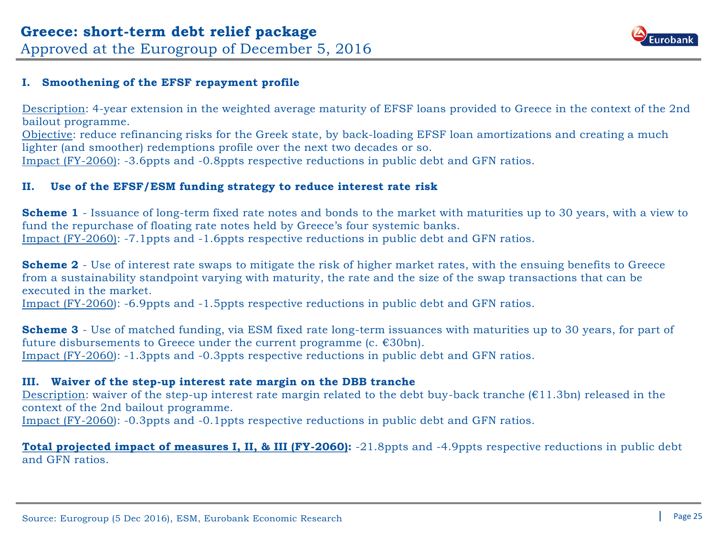

#### **I. Smoothening of the EFSF repayment profile**

Description: 4-year extension in the weighted average maturity of EFSF loans provided to Greece in the context of the 2nd bailout programme.

Objective: reduce refinancing risks for the Greek state, by back-loading EFSF loan amortizations and creating a much lighter (and smoother) redemptions profile over the next two decades or so. Impact (FY-2060): -3.6ppts and -0.8ppts respective reductions in public debt and GFN ratios.

#### **II. Use of the EFSF/ESM funding strategy to reduce interest rate risk**

**Scheme 1** - Issuance of long-term fixed rate notes and bonds to the market with maturities up to 30 years, with a view to fund the repurchase of floating rate notes held by Greece's four systemic banks. Impact (FY-2060): -7.1ppts and -1.6ppts respective reductions in public debt and GFN ratios.

**Scheme 2** - Use of interest rate swaps to mitigate the risk of higher market rates, with the ensuing benefits to Greece from a sustainability standpoint varying with maturity, the rate and the size of the swap transactions that can be executed in the market.

Impact (FY-2060): -6.9ppts and -1.5ppts respective reductions in public debt and GFN ratios.

**Scheme 3** - Use of matched funding, via ESM fixed rate long-term issuances with maturities up to 30 years, for part of future disbursements to Greece under the current programme (c.  $\epsilon$ 30bn). Impact (FY-2060): -1.3ppts and -0.3ppts respective reductions in public debt and GFN ratios.

#### **III. Waiver of the step-up interest rate margin on the DBB tranche**

Description: waiver of the step-up interest rate margin related to the debt buy-back tranche  $(£11.3bn)$  released in the context of the 2nd bailout programme. Impact (FY-2060): -0.3ppts and -0.1ppts respective reductions in public debt and GFN ratios.

**Total projected impact of measures I, II, & III (FY-2060):** -21.8ppts and -4.9ppts respective reductions in public debt and GFN ratios.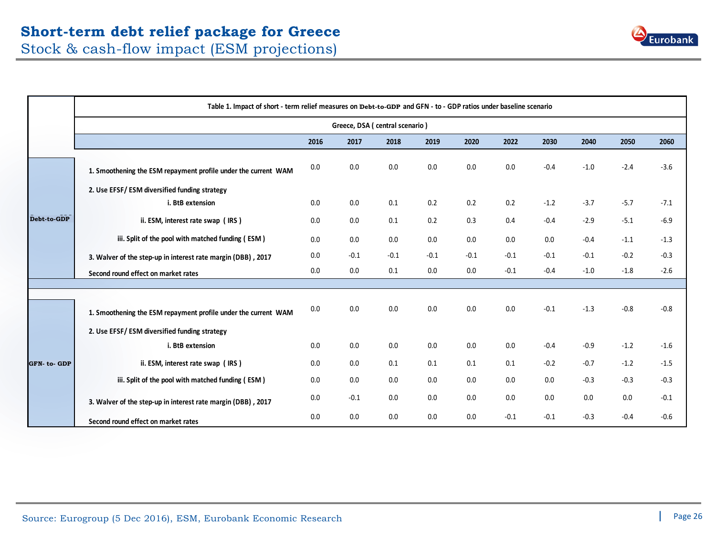

|             | Table 1. Impact of short - term relief measures on Debt-to-GDP and GFN - to - GDP ratios under baseline scenario |      |                                |        |        |        |        |        |        |        |        |  |  |
|-------------|------------------------------------------------------------------------------------------------------------------|------|--------------------------------|--------|--------|--------|--------|--------|--------|--------|--------|--|--|
|             |                                                                                                                  |      | Greece, DSA (central scenario) |        |        |        |        |        |        |        |        |  |  |
|             |                                                                                                                  | 2016 | 2017                           | 2018   | 2019   | 2020   | 2022   | 2030   | 2040   | 2050   | 2060   |  |  |
|             | 1. Smoothening the ESM repayment profile under the current WAM                                                   | 0.0  | 0.0                            | 0.0    | 0.0    | 0.0    | 0.0    | $-0.4$ | $-1.0$ | $-2.4$ | $-3.6$ |  |  |
|             | 2. Use EFSF/ESM diversified funding strategy<br>i. BtB extension                                                 | 0.0  | 0.0                            | 0.1    | 0.2    | 0.2    | 0.2    | $-1.2$ | $-3.7$ | $-5.7$ | $-7.1$ |  |  |
| Debt-to-GDP | ii. ESM, interest rate swap (IRS)                                                                                | 0.0  | 0.0                            | 0.1    | 0.2    | 0.3    | 0.4    | $-0.4$ | $-2.9$ | $-5.1$ | $-6.9$ |  |  |
|             | iii. Split of the pool with matched funding (ESM)                                                                | 0.0  | 0.0                            | 0.0    | 0.0    | 0.0    | 0.0    | 0.0    | $-0.4$ | $-1.1$ | $-1.3$ |  |  |
|             | 3. Walver of the step-up in interest rate margin (DBB), 2017                                                     | 0.0  | $-0.1$                         | $-0.1$ | $-0.1$ | $-0.1$ | $-0.1$ | $-0.1$ | $-0.1$ | $-0.2$ | $-0.3$ |  |  |
|             | Second round effect on market rates                                                                              | 0.0  | 0.0                            | 0.1    | 0.0    | 0.0    | $-0.1$ | $-0.4$ | $-1.0$ | $-1.8$ | $-2.6$ |  |  |
|             |                                                                                                                  |      |                                |        |        |        |        |        |        |        |        |  |  |
|             | 1. Smoothening the ESM repayment profile under the current WAM                                                   | 0.0  | 0.0                            | 0.0    | 0.0    | 0.0    | 0.0    | $-0.1$ | $-1.3$ | $-0.8$ | $-0.8$ |  |  |
|             | 2. Use EFSF/ESM diversified funding strategy                                                                     |      |                                |        |        |        |        |        |        |        |        |  |  |
|             | i. BtB extension                                                                                                 | 0.0  | 0.0                            | 0.0    | 0.0    | 0.0    | 0.0    | $-0.4$ | $-0.9$ | $-1.2$ | $-1.6$ |  |  |
| GFN-to-GDP  | ii. ESM, interest rate swap (IRS)                                                                                | 0.0  | 0.0                            | 0.1    | 0.1    | 0.1    | 0.1    | $-0.2$ | $-0.7$ | $-1.2$ | $-1.5$ |  |  |
|             | iii. Split of the pool with matched funding (ESM)                                                                | 0.0  | 0.0                            | 0.0    | 0.0    | 0.0    | 0.0    | 0.0    | $-0.3$ | $-0.3$ | $-0.3$ |  |  |
|             | 3. Walver of the step-up in interest rate margin (DBB), 2017                                                     | 0.0  | $-0.1$                         | 0.0    | 0.0    | 0.0    | 0.0    | 0.0    | 0.0    | 0.0    | $-0.1$ |  |  |
|             | Second round effect on market rates                                                                              | 0.0  | 0.0                            | 0.0    | 0.0    | 0.0    | $-0.1$ | $-0.1$ | $-0.3$ | $-0.4$ | $-0.6$ |  |  |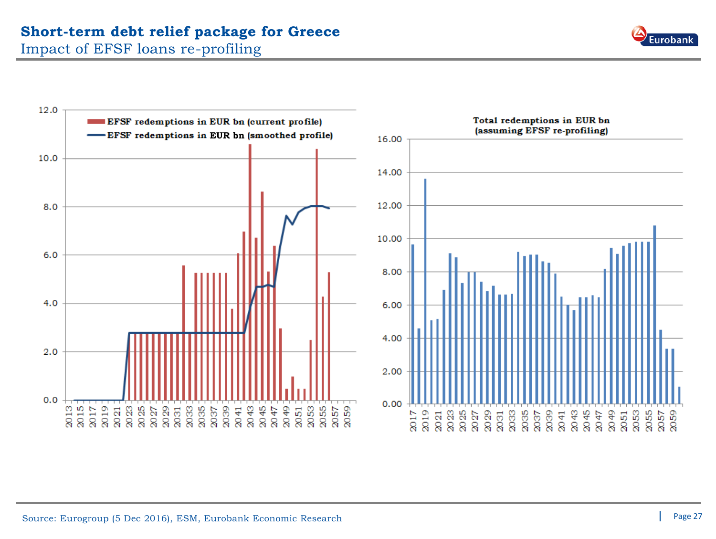### **Short-term debt relief package for Greece**

Impact of EFSF loans re-profiling



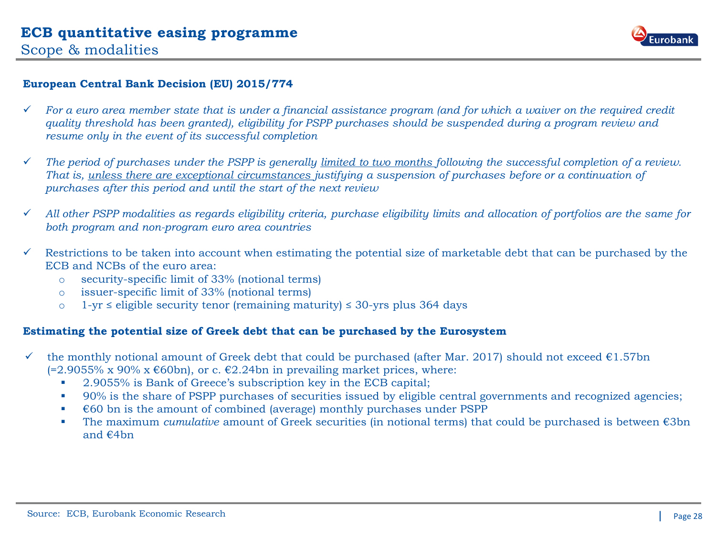

#### **European Central Bank Decision (EU) 2015/774**

- *For a euro area member state that is under a financial assistance program (and for which a waiver on the required credit quality threshold has been granted), eligibility for PSPP purchases should be suspended during a program review and resume only in the event of its successful completion*
- *The period of purchases under the PSPP is generally limited to two months following the successful completion of a review. That is, unless there are exceptional circumstances justifying a suspension of purchases before or a continuation of purchases after this period and until the start of the next review*
- *All other PSPP modalities as regards eligibility criteria, purchase eligibility limits and allocation of portfolios are the same for both program and non-program euro area countries*
- $\checkmark$  Restrictions to be taken into account when estimating the potential size of marketable debt that can be purchased by the ECB and NCBs of the euro area:
	- o security-specific limit of 33% (notional terms)
	- o issuer-specific limit of 33% (notional terms)
	- o 1-yr ≤ eligible security tenor (remaining maturity) ≤ 30-yrs plus 364 days

#### **Estimating the potential size of Greek debt that can be purchased by the Eurosystem**

- the monthly notional amount of Greek debt that could be purchased (after Mar. 2017) should not exceed  $\epsilon$ 1.57bn  $(=2.9055\% \times 90\% \times \epsilon 60$  bn), or c.  $\epsilon$ 2.24bn in prevailing market prices, where:
	- 2.9055% is Bank of Greece's subscription key in the ECB capital;
	- <sup>90%</sup> is the share of PSPP purchases of securities issued by eligible central governments and recognized agencies;
	- $\bullet$   $\in$  60 bn is the amount of combined (average) monthly purchases under PSPP
	- The maximum *cumulative* amount of Greek securities (in notional terms) that could be purchased is between €3bn and €4bn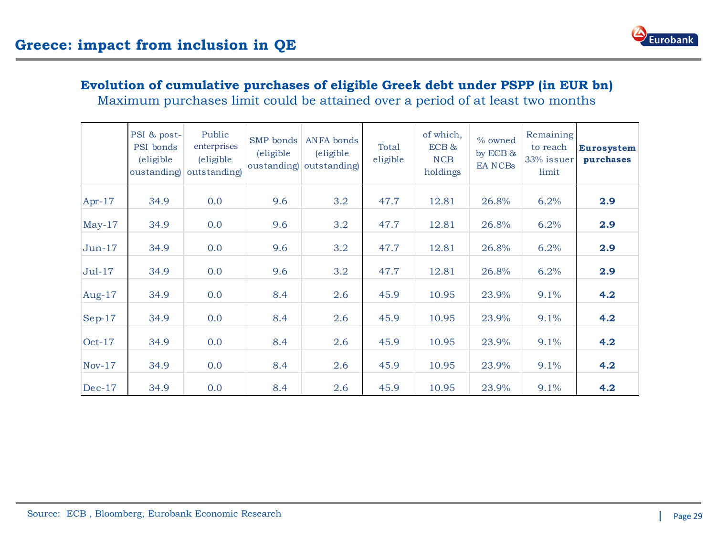



### **Evolution of cumulative purchases of eligible Greek debt under PSPP (in EUR bn)**

Maximum purchases limit could be attained over a period of at least two months

|           | PSI & post-<br>PSI bonds<br><i>(eligible)</i><br>oustanding | Public<br>enterprises<br>(eligible)<br>outstanding) | SMP bonds<br><i>(eligible)</i> | <b>ANFA</b> bonds<br><i>(eligible)</i><br>oustanding outstanding | Total<br>eligible | of which,<br>$ECB$ &<br>NCB<br>holdings | % owned<br>by ECB $\&$<br><b>EANCBs</b> | Remaining<br>to reach<br>33% issuer<br>limit | <b>Eurosystem</b><br>purchases |
|-----------|-------------------------------------------------------------|-----------------------------------------------------|--------------------------------|------------------------------------------------------------------|-------------------|-----------------------------------------|-----------------------------------------|----------------------------------------------|--------------------------------|
| Apr- $17$ | 34.9                                                        | 0.0                                                 | 9.6                            | 3.2                                                              | 47.7              | 12.81                                   | 26.8%                                   | 6.2%                                         | 2.9                            |
| $May-17$  | 34.9                                                        | 0.0                                                 | 9.6                            | 3.2                                                              | 47.7              | 12.81                                   | 26.8%                                   | 6.2%                                         | 2.9                            |
| $Jun-17$  | 34.9                                                        | 0.0                                                 | 9.6                            | 3.2                                                              | 47.7              | 12.81                                   | 26.8%                                   | 6.2%                                         | 2.9                            |
| $Jul-17$  | 34.9                                                        | 0.0                                                 | 9.6                            | 3.2                                                              | 47.7              | 12.81                                   | 26.8%                                   | 6.2%                                         | 2.9                            |
| Aug-17    | 34.9                                                        | 0.0                                                 | 8.4                            | 2.6                                                              | 45.9              | 10.95                                   | 23.9%                                   | 9.1%                                         | 4.2                            |
| $Sep-17$  | 34.9                                                        | 0.0                                                 | 8.4                            | 2.6                                                              | 45.9              | 10.95                                   | 23.9%                                   | 9.1%                                         | 4.2                            |
| $Oct-17$  | 34.9                                                        | 0.0                                                 | 8.4                            | 2.6                                                              | 45.9              | 10.95                                   | 23.9%                                   | 9.1%                                         | 4.2                            |
| $Nov-17$  | 34.9                                                        | 0.0                                                 | 8.4                            | 2.6                                                              | 45.9              | 10.95                                   | 23.9%                                   | 9.1%                                         | 4.2                            |
| $Dec-17$  | 34.9                                                        | 0.0                                                 | 8.4                            | 2.6                                                              | 45.9              | 10.95                                   | 23.9%                                   | 9.1%                                         | 4.2                            |